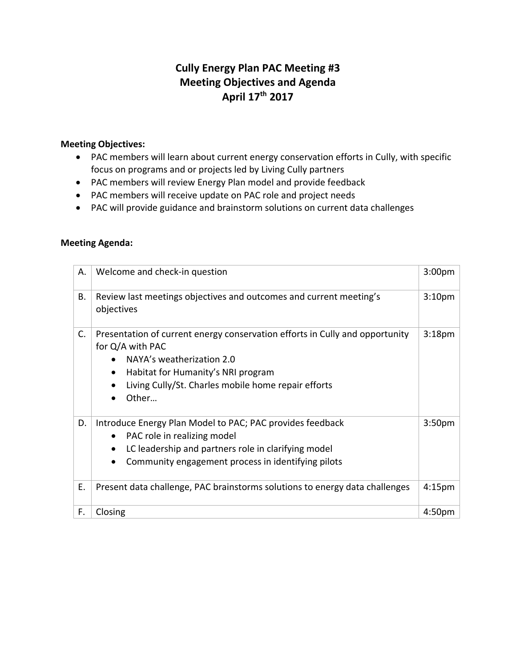#### **Cully Energy Plan PAC Meeting #3 Meeting Objectives and Agenda April 17th 2017**

#### **Meeting Objectives:**

- PAC members will learn about current energy conservation efforts in Cully, with specific focus on programs and or projects led by Living Cully partners
- PAC members will review Energy Plan model and provide feedback
- PAC members will receive update on PAC role and project needs
- PAC will provide guidance and brainstorm solutions on current data challenges

#### **Meeting Agenda:**

| А. | Welcome and check-in question                                                                                                                                                                                                                    |                    |  |
|----|--------------------------------------------------------------------------------------------------------------------------------------------------------------------------------------------------------------------------------------------------|--------------------|--|
| В. | Review last meetings objectives and outcomes and current meeting's<br>objectives                                                                                                                                                                 |                    |  |
| C. | Presentation of current energy conservation efforts in Cully and opportunity<br>for Q/A with PAC<br>NAYA's weatherization 2.0<br>Habitat for Humanity's NRI program<br>$\bullet$<br>Living Cully/St. Charles mobile home repair efforts<br>Other | 3:18 <sub>pm</sub> |  |
| D. | Introduce Energy Plan Model to PAC; PAC provides feedback<br>PAC role in realizing model<br>$\bullet$<br>LC leadership and partners role in clarifying model<br>Community engagement process in identifying pilots                               | 3:50 <sub>pm</sub> |  |
| Ε. | Present data challenge, PAC brainstorms solutions to energy data challenges                                                                                                                                                                      | 4:15 <sub>pm</sub> |  |
| F. | Closing                                                                                                                                                                                                                                          | 4:50 <sub>pm</sub> |  |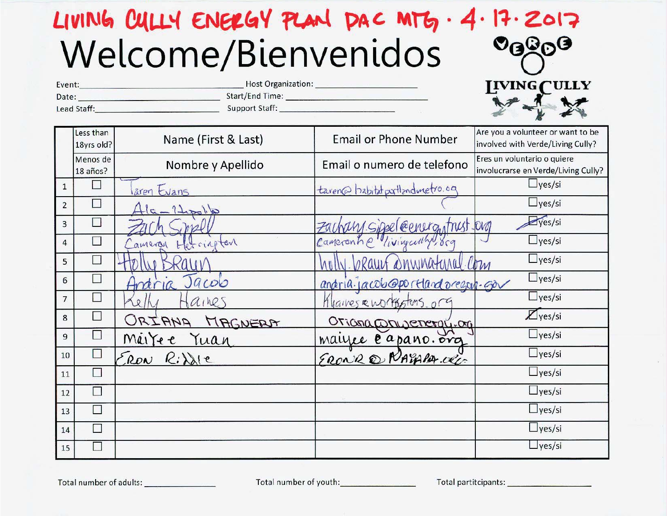### LIVING CULLY ENERGY PLAN DAC MTG. 4.17.2017  $O<sub>9</sub>$  $O<sub>0</sub>$  $O$ Welcome/Bienvenidos

| Event:      | Host Organization:    | <b>IIVING</b> |
|-------------|-----------------------|---------------|
| Date:       | Start/End Time:       |               |
| Lead Staff: | <b>Support Staff:</b> |               |

|                 | Less than<br>18yrs old?  | Name (First & Last)  | <b>Email or Phone Number</b>     | Are you a volunteer or want to be<br>involved with Verde/Living Cully? |
|-----------------|--------------------------|----------------------|----------------------------------|------------------------------------------------------------------------|
|                 | Menos de<br>18 años?     | Nombre y Apellido    | Email o numero de telefono       | Eres un voluntario o quiere<br>involucrarse en Verde/Living Cully?     |
| $\mathbf{1}$    |                          | aren Evans           | tarence habitat portlandmetro.og | $\Box$ yes/si                                                          |
| $\overline{2}$  |                          | Irold                |                                  | $\Box$ yes/si                                                          |
| 3               |                          |                      | Zachang Sippel Ceneratoust.      | yes/si<br>lova                                                         |
| 4               |                          | exciteted<br>Cameron |                                  | Lyes/si                                                                |
| 5               |                          |                      | Shwnatchall Com                  | $\Box$ yes/si                                                          |
| 6               |                          | Jacob<br>paria       | andria. lacoboportland precan-ou | $\Box$ yes/si                                                          |
| $7\overline{ }$ |                          | $a_1$ hes<br>$\circ$ | Myaines & worksgtens. org        | $\Box$ yes/si                                                          |
| 8               |                          | ORIANA<br>MAGNERA    | Oriana converenciona             | $Z$ yes/si                                                             |
| 9               |                          | Mairee ruan          | maiyee capano. org               | $\Box$ yes/si                                                          |
| 10              | $\overline{\phantom{a}}$ | RON Risle            | FRONZ & NATARA UCC               | $\Box$ yes/si                                                          |
| 11              | П                        |                      |                                  | $\Box$ yes/si                                                          |
| 12              | П                        |                      |                                  | $\Box$ yes/si                                                          |
| 13              | П                        |                      |                                  | $\Box$ yes/si                                                          |
| 14              | П                        |                      |                                  | $\Box$ yes/si                                                          |
| 15              |                          |                      |                                  | $\Box$ yes/si                                                          |

Total number of youth: \_\_\_\_\_\_\_\_\_\_\_\_\_\_\_\_

**TULLY**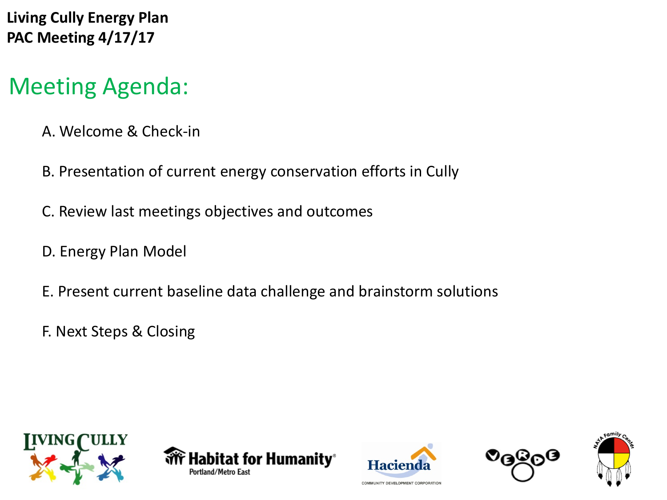## Meeting Agenda:

- A. Welcome & Check-in
- B. Presentation of current energy conservation efforts in Cully
- C. Review last meetings objectives and outcomes
- D. Energy Plan Model
- E. Present current baseline data challenge and brainstorm solutions
- F. Next Steps & Closing









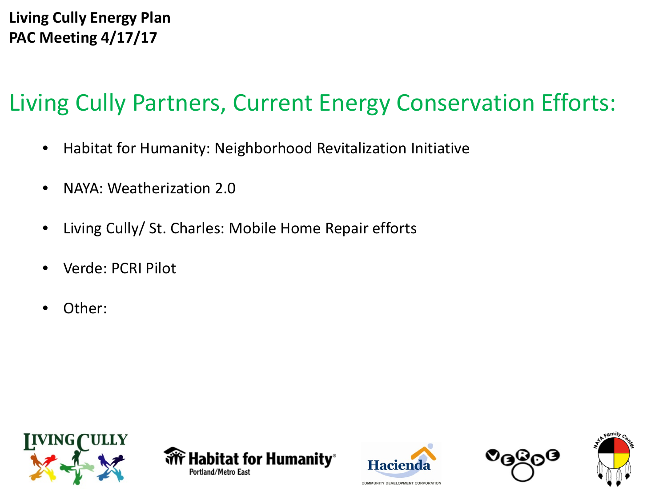# Living Cully Partners, Current Energy Conservation Efforts:

- Habitat for Humanity: Neighborhood Revitalization Initiative
- NAYA: Weatherization 2.0
- Living Cully/ St. Charles: Mobile Home Repair efforts
- Verde: PCRI Pilot
- Other:









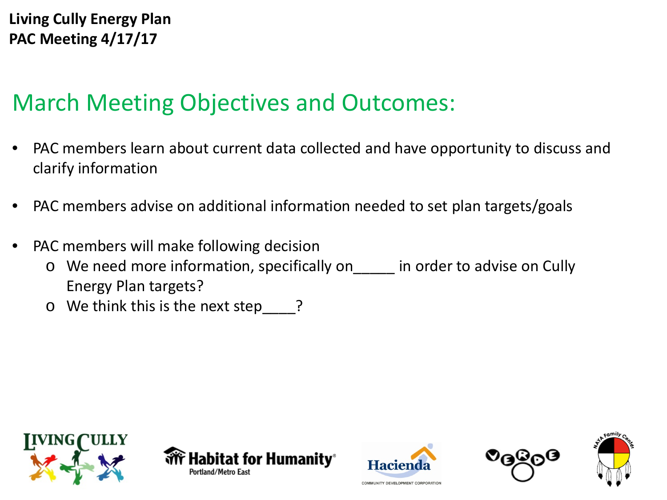# March Meeting Objectives and Outcomes:

- PAC members learn about current data collected and have opportunity to discuss and clarify information
- PAC members advise on additional information needed to set plan targets/goals
- PAC members will make following decision
	- o We need more information, specifically on\_\_\_\_\_ in order to advise on Cully Energy Plan targets?
	- $\circ$  We think this is the next step ?









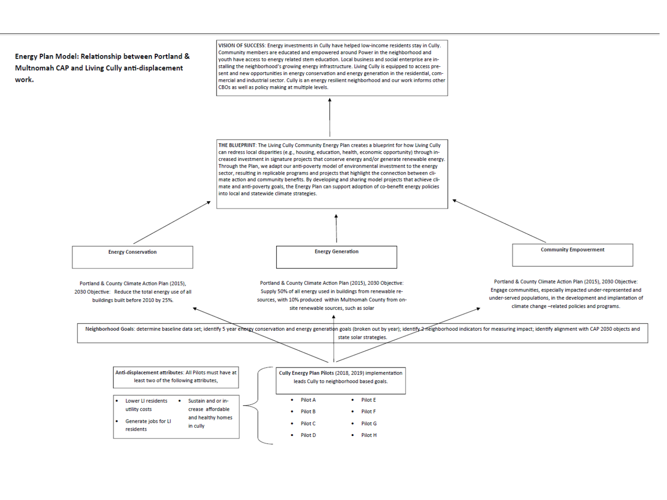

THE BLUEPRINT: The Living Cully Community Energy Plan creates a blueprint for how Living Cully can redress local disparities (e.g., housing, education, health, economic opportunity) through increased investment in signature projects that conserve energy and/or generate renewable energy. Through the Plan, we adapt our anti-poverty model of environmental investment to the energy sector, resulting in replicable programs and projects that highlight the connection between climate action and community benefits. By developing and sharing model projects that achieve climate and anti-poverty goals, the Energy Plan can support adoption of co-benefit energy policies into local and statewide climate strategies.

**Energy Generation** 

Portland & County Climate Action Plan (2015). 2030 Objective: Reduce the total energy use of all buildings built before 2010 by 25%.

**Energy Conservation** 

Portland & County Climate Action Plan (2015), 2030 Objective: Supply 50% of all energy used in buildings from renewable resources, with 10% produced within Multnomah County from onsite renewable sources, such as solar

**Community Empowerment** 

Portland & County Climate Action Plan (2015), 2030 Objective: Engage communities, especially impacted under-represented and under-served populations, in the development and implantation of climate change -related policies and programs.

Neighborhood Goals: determine baseline data set; identify 5 year energy conservation and energy generation goals (broken out by year); identify 2 reighborhood indicators for measuring impact; identify dignment with CAP 203 state solar strategies.

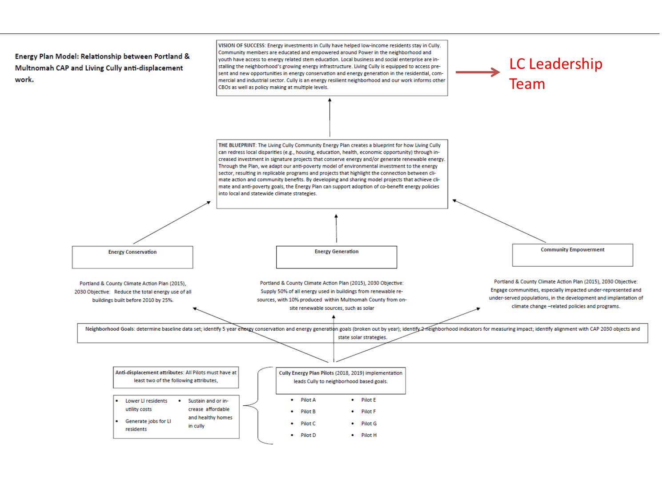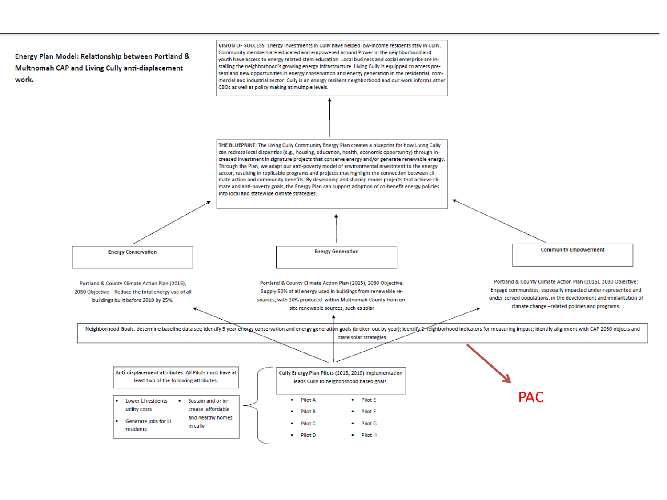

THE BLUEPRINT: The Living Cully Community Energy Plan creates a blueprint for how Living Cully can redress local disparities (e.g., housing, education, health, economic opportunity) through increased investment in signature projects that conserve energy and/or generate renewable energy. Through the Plan, we adapt our anti-poverty model of environmental investment to the energy sector, resulting in replicable programs and projects that highlight the connection between climate action and community benefits. By developing and sharing model projects that achieve climate and anti-poverty goals, the Energy Plan can support adoption of co-benefit energy policies into local and statewide climate strategies.

**Energy Generation** 

Portland & County Climate Action Plan (2015). 2030 Objective: Reduce the total energy use of all buildings built before 2010 by 25%.

**Energy Conservation** 

Portland & County Climate Action Plan (2015), 2030 Objective: Supply 50% of all energy used in buildings from renewable resources, with 10% produced within Multnomah County from onsite renewable sources, such as solar

Portland & County Climate Action Plan (2015), 2030 Objective: Engage communities, especially impacted under-represented and under-served populations, in the development and implantation of

**Community Empowerment** 

climate change -related policies and programs.

Neighborhood Goals: determine baseline data set; identify 5 year energy conservation and energy generation goals (broken out by year); identify 2 reighborhood indicators for measuring impact; identify dignment with CAP 203 state solar strategies.

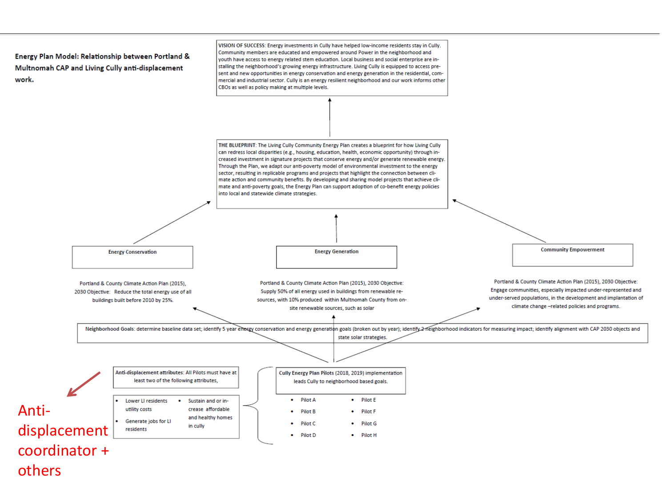

THE BLUEPRINT: The Living Cully Community Energy Plan creates a blueprint for how Living Cully can redress local disparities (e.g., housing, education, health, economic opportunity) through increased investment in signature projects that conserve energy and/or generate renewable energy. Through the Plan, we adapt our anti-poverty model of environmental investment to the energy sector, resulting in replicable programs and projects that highlight the connection between climate action and community benefits. By developing and sharing model projects that achieve climate and anti-poverty goals, the Energy Plan can support adoption of co-benefit energy policies into local and statewide climate strategies.

**Energy Generation** 

Portland & County Climate Action Plan (2015). 2030 Objective: Reduce the total energy use of all buildings built before 2010 by 25%.

**Energy Conservation** 

Portland & County Climate Action Plan (2015), 2030 Objective: Supply 50% of all energy used in buildings from renewable resources, with 10% produced within Multnomah County from onsite renewable sources, such as solar

Portland & County Climate Action Plan (2015), 2030 Objective: Engage communities, especially impacted under-represented and under-served populations, in the development and implantation of climate change -related policies and programs.

**Community Empowerment** 

Neighborhood Goals: determine baseline data set; identify 5 year energy conservation and energy generation goals (broken out by year); identify 2-reighborhood indicators for measuring impact; identify alignment with CAP 20 state solar strategies.

Pilot G





- $\bullet$  Pilot C
- Pilot D Pilot H

coordinator + others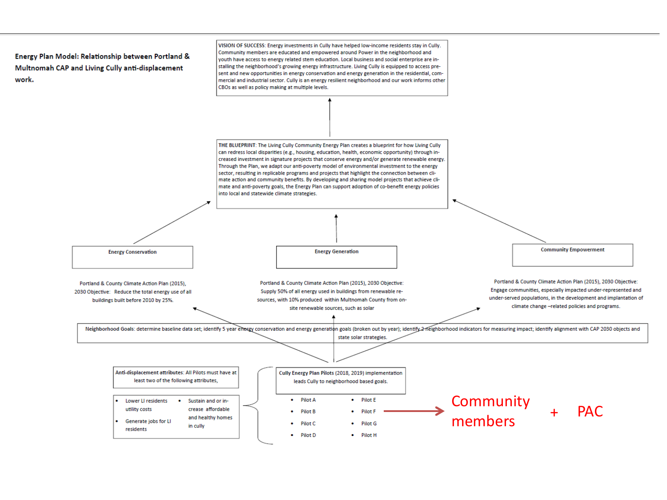

THE BLUEPRINT: The Living Cully Community Energy Plan creates a blueprint for how Living Cully can redress local disparities (e.g., housing, education, health, economic opportunity) through increased investment in signature projects that conserve energy and/or generate renewable energy. Through the Plan, we adapt our anti-poverty model of environmental investment to the energy sector, resulting in replicable programs and projects that highlight the connection between climate action and community benefits. By developing and sharing model projects that achieve climate and anti-poverty goals, the Energy Plan can support adoption of co-benefit energy policies into local and statewide climate strategies.

**Energy Generation** 

Portland & County Climate Action Plan (2015). 2030 Objective: Reduce the total energy use of all

**Energy Conservation** 

buildings built before 2010 by 25%.

Portland & County Climate Action Plan (2015), 2030 Objective: Supply 50% of all energy used in buildings from renewable resources, with 10% produced within Multnomah County from onsite renewable sources, such as solar

**Community Empowerment** 

Portland & County Climate Action Plan (2015), 2030 Objective: Engage communities, especially impacted under-represented and under-served populations, in the development and implantation of climate change -related policies and programs.

Neighborhood Goals: determine baseline data set; identify 5 year energy conservation and energy generation goals (broken out by year); identify 2 reighborhood indicators for measuring impact; identify dignment with CAP 203 state solar strategies.

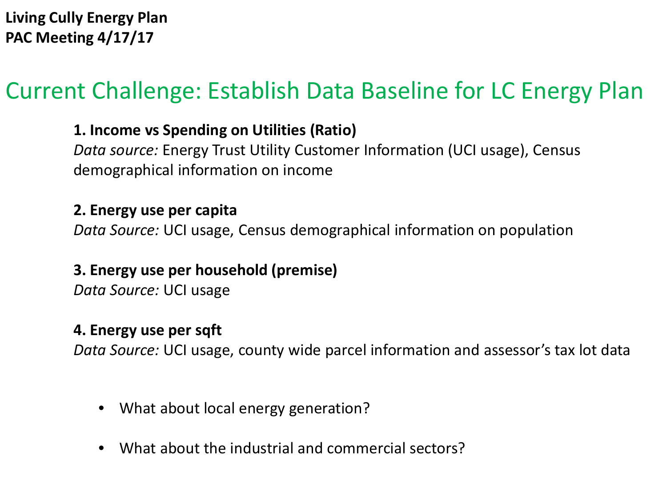### Current Challenge: Establish Data Baseline for LC Energy Plan

### **1. Income vs Spending on Utilities (Ratio)**

*Data source:* Energy Trust Utility Customer Information (UCI usage), Census demographical information on income

#### **2. Energy use per capita**

*Data Source:* UCI usage, Census demographical information on population

### **3. Energy use per household (premise)**

*Data Source:* UCI usage

### **4. Energy use per sqft**

*Data Source:* UCI usage, county wide parcel information and assessor's tax lot data

- What about local energy generation?
- What about the industrial and commercial sectors?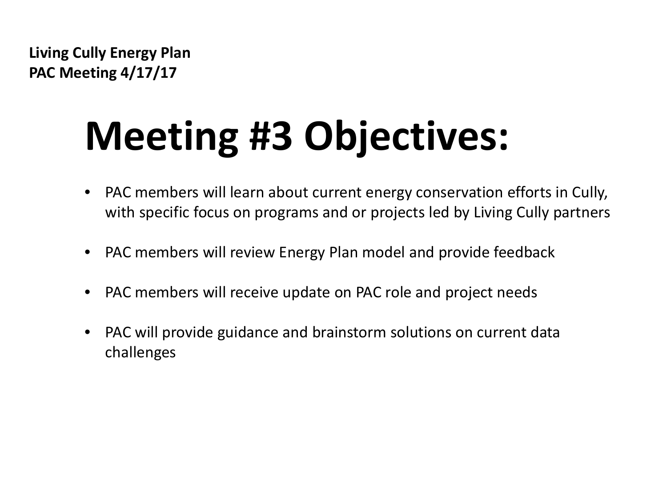# **Meeting #3 Objectives:**

- PAC members will learn about current energy conservation efforts in Cully, with specific focus on programs and or projects led by Living Cully partners
- PAC members will review Energy Plan model and provide feedback
- PAC members will receive update on PAC role and project needs
- PAC will provide guidance and brainstorm solutions on current data challenges